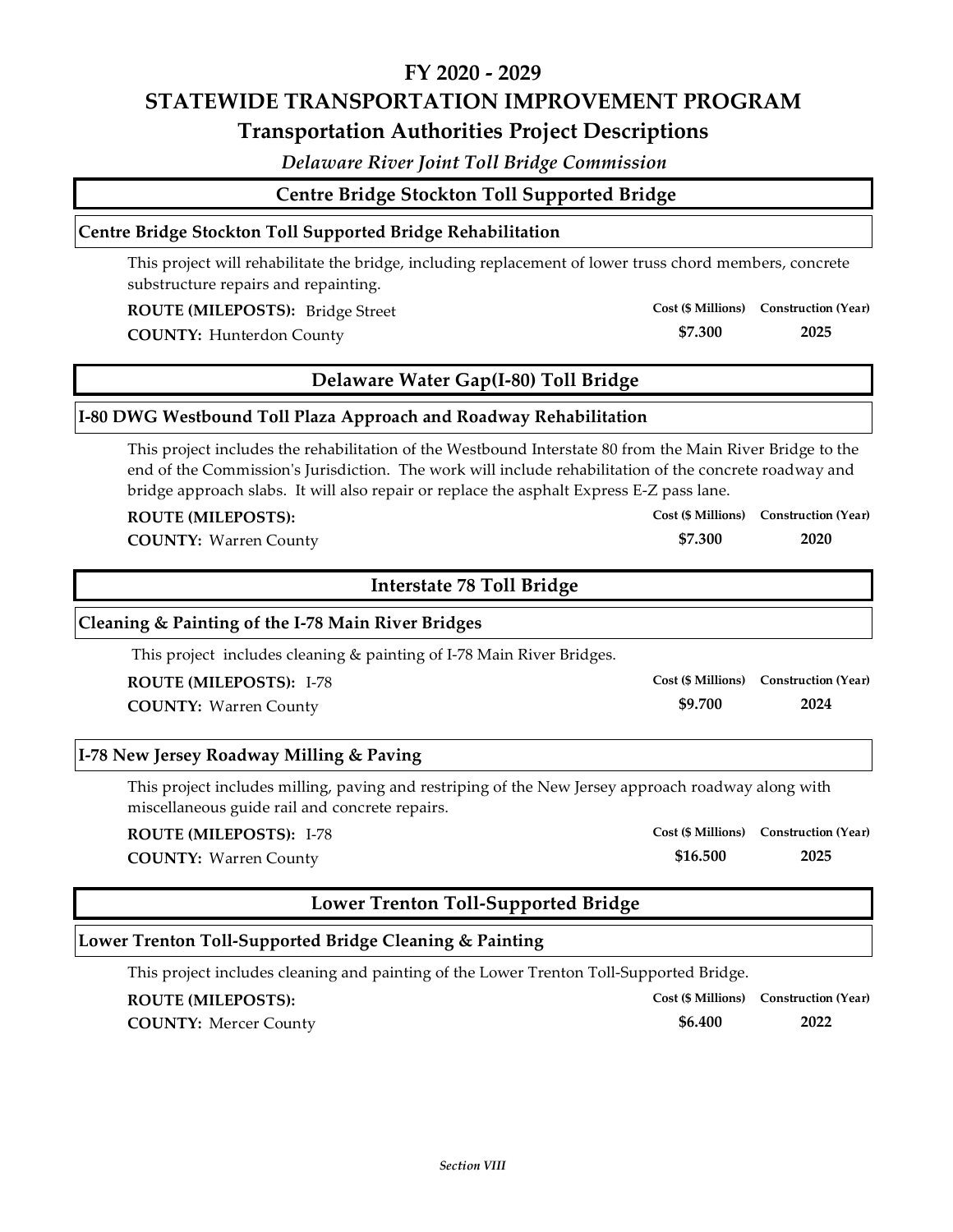*Delaware River Joint Toll Bridge Commission*

**Centre Bridge Stockton Toll Supported Bridge**

### **Centre Bridge Stockton Toll Supported Bridge Rehabilitation**

This project will rehabilitate the bridge, including replacement of lower truss chord members, concrete substructure repairs and repainting.

**ROUTE (MILEPOSTS):** Bridge Street

**COUNTY: 2025** Hunterdon County

# **Delaware Water Gap(I‐80) Toll Bridge**

## **I‐80 DWG Westbound Toll Plaza Approach and Roadway Rehabilitation**

This project includes the rehabilitation of the Westbound Interstate 80 from the Main River Bridge to the end of the Commission's Jurisdiction. The work will include rehabilitation of the concrete roadway and bridge approach slabs. It will also repair or replace the asphalt Express E‐Z pass lane.

#### **ROUTE (MILEPOSTS):**

**COUNTY: 2020** Warren County

## **Interstate 78 Toll Bridge**

## **Cleaning & Painting of the I‐78 Main River Bridges**

This project includes cleaning & painting of I‐78 Main River Bridges.

**ROUTE (MILEPOSTS):** I‐78

**COUNTY: 2024** Warren County

## **I‐78 New Jersey Roadway Milling & Paving**

This project includes milling, paving and restriping of the New Jersey approach roadway along with miscellaneous guide rail and concrete repairs.

#### **ROUTE (MILEPOSTS):** I‐78

**COUNTY: 2025** Warren County

# **Lower Trenton Toll‐Supported Bridge**

# **Lower Trenton Toll‐Supported Bridge Cleaning & Painting**

This project includes cleaning and painting of the Lower Trenton Toll‐Supported Bridge.

#### **ROUTE (MILEPOSTS):**

**COUNTY: 2022** Mercer County

**\$16.500 Cost (\$ Millions) Construction (Year)**

**Cost (\$ Millions) Construction (Year)**

**\$6.400**

**\$9.700**

**\$7.300**

**Cost (\$ Millions) Construction (Year)**

**Cost (\$ Millions) Construction (Year)**

**Cost (\$ Millions) Construction (Year)**

**\$7.300**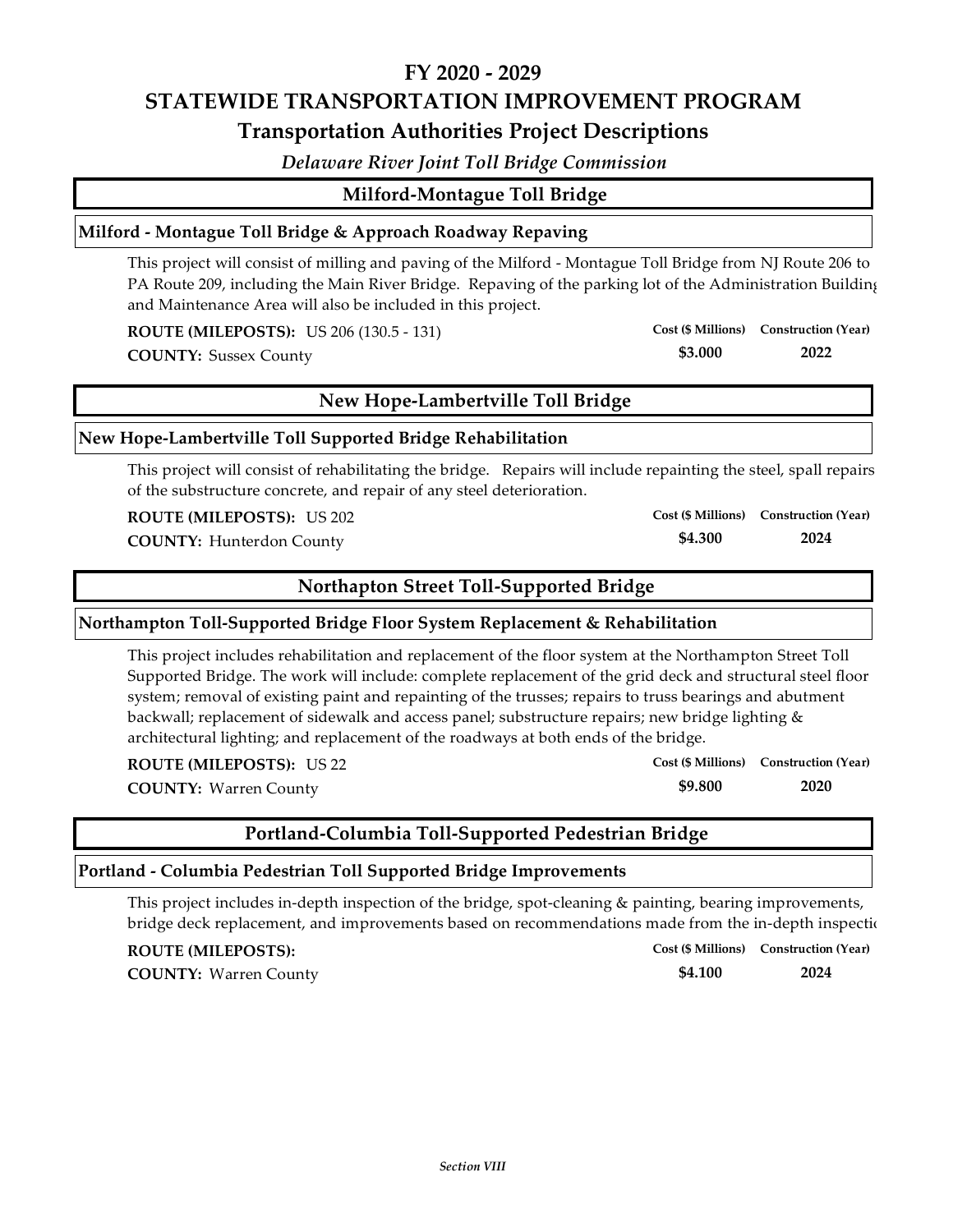*Delaware River Joint Toll Bridge Commission*

# **Milford‐Montague Toll Bridge**

## **Milford ‐ Montague Toll Bridge & Approach Roadway Repaving**

This project will consist of milling and paving of the Milford ‐ Montague Toll Bridge from NJ Route 206 to PA Route 209, including the Main River Bridge. Repaving of the parking lot of the Administration Building and Maintenance Area will also be included in this project.

**ROUTE (MILEPOSTS):** US 206 (130.5 ‐ 131)

**COUNTY: 2022** Sussex County

# **New Hope‐Lambertville Toll Bridge**

## **New Hope‐Lambertville Toll Supported Bridge Rehabilitation**

This project will consist of rehabilitating the bridge. Repairs will include repainting the steel, spall repairs of the substructure concrete, and repair of any steel deterioration.

**ROUTE (MILEPOSTS):** US 202

**COUNTY: 2024** Hunterdon County

## **Northapton Street Toll‐Supported Bridge**

## **Northampton Toll‐Supported Bridge Floor System Replacement & Rehabilitation**

This project includes rehabilitation and replacement of the floor system at the Northampton Street Toll Supported Bridge. The work will include: complete replacement of the grid deck and structural steel floor system; removal of existing paint and repainting of the trusses; repairs to truss bearings and abutment backwall; replacement of sidewalk and access panel; substructure repairs; new bridge lighting & architectural lighting; and replacement of the roadways at both ends of the bridge.

**ROUTE (MILEPOSTS):** US 22

**COUNTY: 2020** Warren County

# **Portland‐Columbia Toll‐Supported Pedestrian Bridge**

### **Portland ‐ Columbia Pedestrian Toll Supported Bridge Improvements**

This project includes in-depth inspection of the bridge, spot-cleaning & painting, bearing improvements, bridge deck replacement, and improvements based on recommendations made from the in-depth inspection

#### **ROUTE (MILEPOSTS):**

**COUNTY: 2024** Warren County

|         | Cost (\$ Millions) Construction (Year) |
|---------|----------------------------------------|
| \$4.100 | 2024                                   |

**Cost (\$ Millions) Construction (Year)**

**\$3.000**

**\$9.800**

**\$4.300 Cost (\$ Millions) Construction (Year)**

**Cost (\$ Millions) Construction (Year)**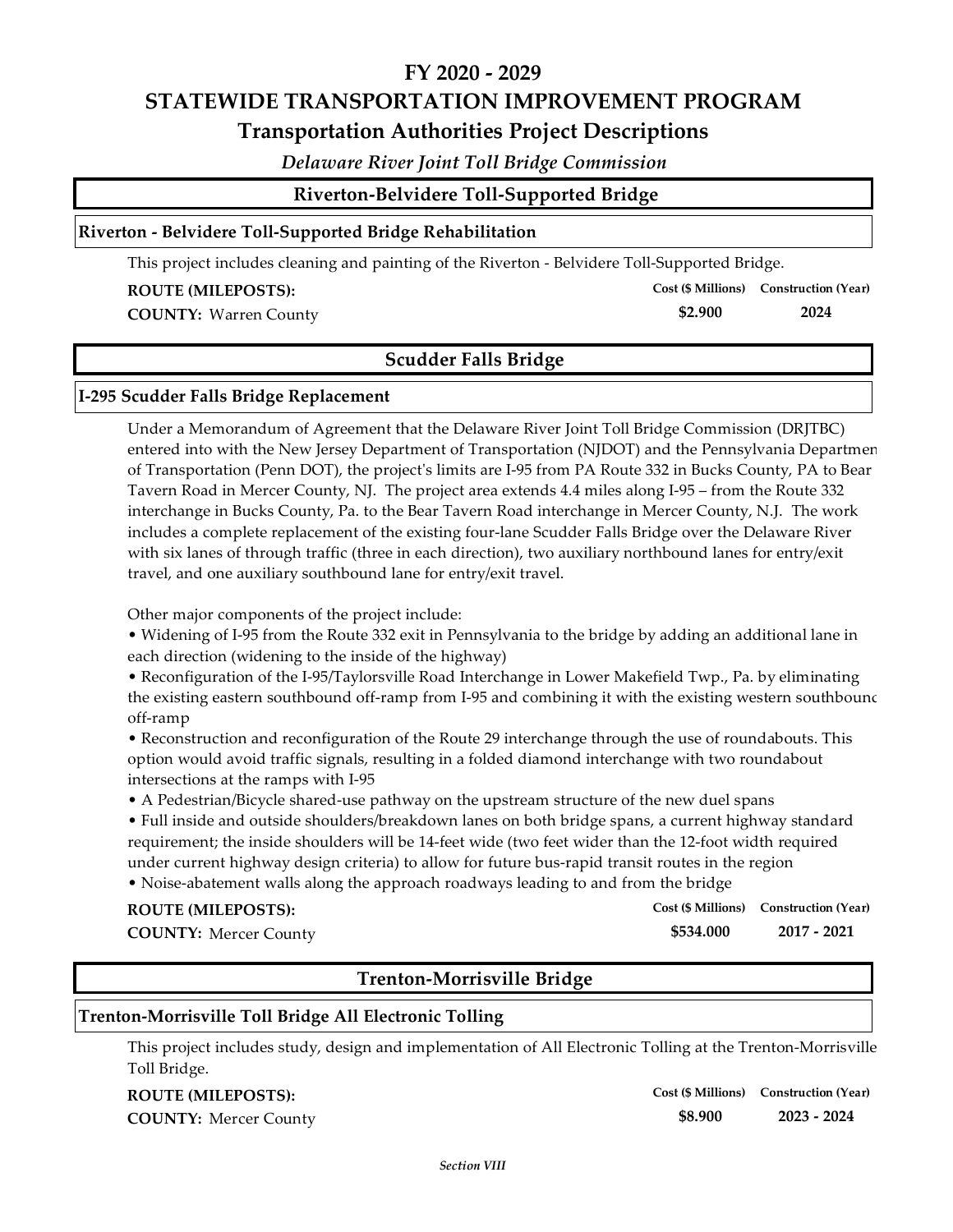## *Delaware River Joint Toll Bridge Commission*

**\$2.900**

**Cost (\$ Millions) Construction (Year)**

## **Riverton ‐ Belvidere Toll‐Supported Bridge Rehabilitation**

This project includes cleaning and painting of the Riverton ‐ Belvidere Toll‐Supported Bridge.

#### **ROUTE (MILEPOSTS):**

**COUNTY: 2024** Warren County

# **Scudder Falls Bridge**

#### **I‐295 Scudder Falls Bridge Replacement**

Under a Memorandum of Agreement that the Delaware River Joint Toll Bridge Commission (DRJTBC) entered into with the New Jersey Department of Transportation (NJDOT) and the Pennsylvania Departmen of Transportation (Penn DOT), the projectʹs limits are I‐95 from PA Route 332 in Bucks County, PA to Bear Tavern Road in Mercer County, NJ. The project area extends 4.4 miles along I‐95 – from the Route 332 interchange in Bucks County, Pa. to the Bear Tavern Road interchange in Mercer County, N.J. The work includes a complete replacement of the existing four‐lane Scudder Falls Bridge over the Delaware River with six lanes of through traffic (three in each direction), two auxiliary northbound lanes for entry/exit travel, and one auxiliary southbound lane for entry/exit travel.

Other major components of the project include:

• Widening of I‐95 from the Route 332 exit in Pennsylvania to the bridge by adding an additional lane in each direction (widening to the inside of the highway)

• Reconfiguration of the I‐95/Taylorsville Road Interchange in Lower Makefield Twp., Pa. by eliminating the existing eastern southbound off-ramp from I-95 and combining it with the existing western southbound off‐ramp

• Reconstruction and reconfiguration of the Route 29 interchange through the use of roundabouts. This option would avoid traffic signals, resulting in a folded diamond interchange with two roundabout intersections at the ramps with I‐95

• A Pedestrian/Bicycle shared-use pathway on the upstream structure of the new duel spans

• Full inside and outside shoulders/breakdown lanes on both bridge spans, a current highway standard requirement; the inside shoulders will be 14‐feet wide (two feet wider than the 12‐foot width required under current highway design criteria) to allow for future bus‐rapid transit routes in the region

• Noise-abatement walls along the approach roadways leading to and from the bridge

| <b>ROUTE (MILEPOSTS):</b>    |           | Cost (\$ Millions) Construction (Year) |
|------------------------------|-----------|----------------------------------------|
| <b>COUNTY: Mercer County</b> | \$534.000 | 2017 - 2021                            |

# **Trenton‐Morrisville Bridge**

#### **Trenton‐Morrisville Toll Bridge All Electronic Tolling**

This project includes study, design and implementation of All Electronic Tolling at the Trenton‐Morrisville Toll Bridge.

#### **ROUTE (MILEPOSTS):**

**COUNTY: 2023 ‐ 2024** Mercer County

**\$8.900 Cost (\$ Millions) Construction (Year)**